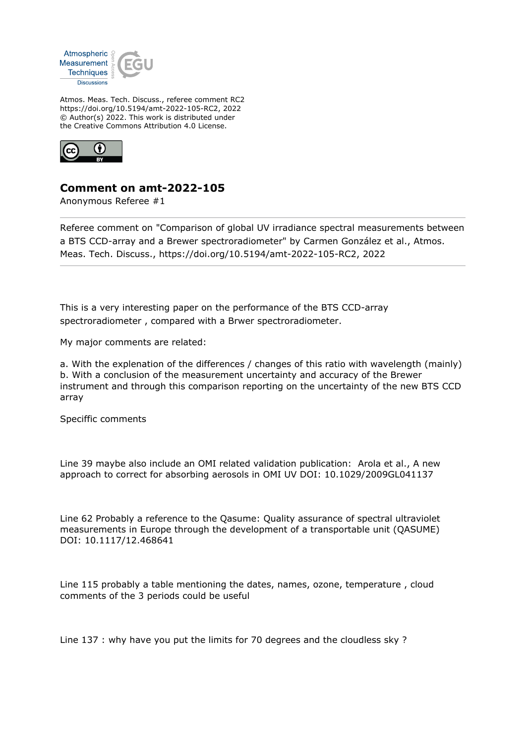

Atmos. Meas. Tech. Discuss., referee comment RC2 https://doi.org/10.5194/amt-2022-105-RC2, 2022 © Author(s) 2022. This work is distributed under the Creative Commons Attribution 4.0 License.



## **Comment on amt-2022-105**

Anonymous Referee #1

Referee comment on "Comparison of global UV irradiance spectral measurements between a BTS CCD-array and a Brewer spectroradiometer" by Carmen González et al., Atmos. Meas. Tech. Discuss., https://doi.org/10.5194/amt-2022-105-RC2, 2022

This is a very interesting paper on the performance of the BTS CCD-array spectroradiometer , compared with a Brwer spectroradiometer.

My major comments are related:

a. With the explenation of the differences / changes of this ratio with wavelength (mainly) b. With a conclusion of the measurement uncertainty and accuracy of the Brewer instrument and through this comparison reporting on the uncertainty of the new BTS CCD array

Speciffic comments

Line 39 maybe also include an OMI related validation publication: Arola et al., A new approach to correct for absorbing aerosols in OMI UV DOI: 10.1029/2009GL041137

Line 62 Probably a reference to the Qasume: Quality assurance of spectral ultraviolet measurements in Europe through the development of a transportable unit (QASUME) DOI: 10.1117/12.468641

Line 115 probably a table mentioning the dates, names, ozone, temperature , cloud comments of the 3 periods could be useful

Line 137 : why have you put the limits for 70 degrees and the cloudless sky ?